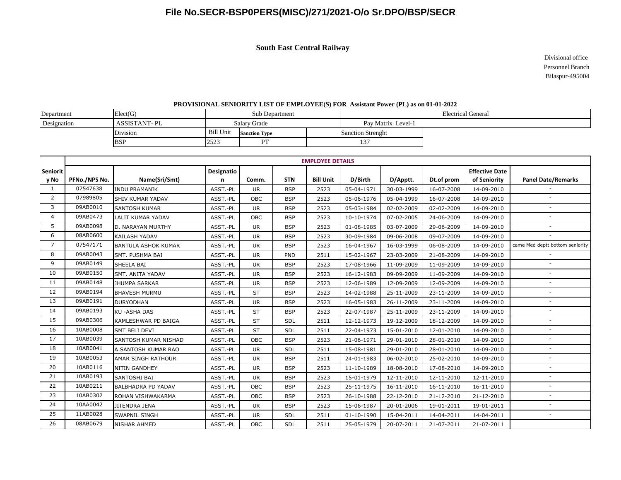**South East Central Railway**

 Divisional office Personnel Branch Bilaspur-495004

#### **PROVISIONAL SENIORITY LIST OF EMPLOYEE(S) FOR Assistant Power (PL) as on 01-01-2022**

| Department  | Elect(G)            | Sub Department   |                      |  | <b>Electrical General</b> |  |  |  |
|-------------|---------------------|------------------|----------------------|--|---------------------------|--|--|--|
| Designation | <b>ASSISTANT-PL</b> | Salary Grade     |                      |  | Pay Matrix Level-1        |  |  |  |
|             | Division            | <b>Bill Unit</b> | <b>Sanction Type</b> |  | <b>Sanction Strenght</b>  |  |  |  |
|             | <b>BSP</b>          | 2523             | DТ                   |  | 137                       |  |  |  |

|                         | <b>EMPLOYEE DETAILS</b> |                            |                 |            |            |                  |            |            |            |                                       |                                 |  |
|-------------------------|-------------------------|----------------------------|-----------------|------------|------------|------------------|------------|------------|------------|---------------------------------------|---------------------------------|--|
| <b>Seniorit</b><br>y No | PFNo./NPS No.           | Name(Sri/Smt)              | Designatio<br>n | Comm.      | <b>STN</b> | <b>Bill Unit</b> | D/Birth    | D/Apptt.   | Dt.of prom | <b>Effective Date</b><br>of Seniority | <b>Panel Date/Remarks</b>       |  |
| 1                       | 07547638                | <b>INDU PRAMANIK</b>       | ASST.-PL        | <b>UR</b>  | <b>BSP</b> | 2523             | 05-04-1971 | 30-03-1999 | 16-07-2008 | 14-09-2010                            |                                 |  |
| $\overline{2}$          | 07989805                | SHIV KUMAR YADAV           | ASST.-PL        | <b>OBC</b> | <b>BSP</b> | 2523             | 05-06-1976 | 05-04-1999 | 16-07-2008 | 14-09-2010                            | $\blacksquare$                  |  |
| 3                       | 09AB0010                | <b>SANTOSH KUMAR</b>       | ASST.-PL        | <b>UR</b>  | <b>BSP</b> | 2523             | 05-03-1984 | 02-02-2009 | 02-02-2009 | 14-09-2010                            |                                 |  |
| $\overline{4}$          | 09AB0473                | <b>LALIT KUMAR YADAV</b>   | ASST.-PL        | OBC        | <b>BSP</b> | 2523             | 10-10-1974 | 07-02-2005 | 24-06-2009 | 14-09-2010                            | $\overline{\phantom{a}}$        |  |
| 5                       | 09AB0098                | D. NARAYAN MURTHY          | ASST.-PL        | <b>UR</b>  | <b>BSP</b> | 2523             | 01-08-1985 | 03-07-2009 | 29-06-2009 | 14-09-2010                            | $\overline{\phantom{a}}$        |  |
| 6                       | 08AB0600                | <b>KAILASH YADAV</b>       | ASST.-PL        | <b>UR</b>  | <b>BSP</b> | 2523             | 30-09-1984 | 09-06-2008 | 09-07-2009 | 14-09-2010                            |                                 |  |
| $\overline{7}$          | 07547171                | <b>BANTULA ASHOK KUMAR</b> | ASST.-PL        | <b>UR</b>  | <b>BSP</b> | 2523             | 16-04-1967 | 16-03-1999 | 06-08-2009 | 14-09-2010                            | came Med deptt bottom seniority |  |
| 8                       | 09AB0043                | SMT. PUSHMA BAI            | ASST.-PL        | <b>UR</b>  | PND        | 2511             | 15-02-1967 | 23-03-2009 | 21-08-2009 | 14-09-2010                            |                                 |  |
| 9                       | 09AB0149                | SHEELA BAI                 | ASST.-PL        | <b>UR</b>  | <b>BSP</b> | 2523             | 17-08-1966 | 11-09-2009 | 11-09-2009 | 14-09-2010                            | $\blacksquare$                  |  |
| 10                      | 09AB0150                | SMT. ANITA YADAV           | ASST.-PL        | <b>UR</b>  | <b>BSP</b> | 2523             | 16-12-1983 | 09-09-2009 | 11-09-2009 | 14-09-2010                            |                                 |  |
| 11                      | 09AB0148                | <b>JHUMPA SARKAR</b>       | ASST.-PL        | <b>UR</b>  | <b>BSP</b> | 2523             | 12-06-1989 | 12-09-2009 | 12-09-2009 | 14-09-2010                            |                                 |  |
| 12                      | 09AB0194                | <b>BHAVESH MURMU</b>       | ASST.-PL        | <b>ST</b>  | <b>BSP</b> | 2523             | 14-02-1988 | 25-11-2009 | 23-11-2009 | 14-09-2010                            |                                 |  |
| 13                      | 09AB0191                | <b>DURYODHAN</b>           | ASST.-PL        | <b>UR</b>  | <b>BSP</b> | 2523             | 16-05-1983 | 26-11-2009 | 23-11-2009 | 14-09-2010                            | $\overline{\phantom{a}}$        |  |
| 14                      | 09AB0193                | <b>KU-ASHA DAS</b>         | ASST.-PL        | <b>ST</b>  | <b>BSP</b> | 2523             | 22-07-1987 | 25-11-2009 | 23-11-2009 | 14-09-2010                            | $\overline{\phantom{a}}$        |  |
| 15                      | 09AB0306                | KAMLESHWAR PD BAIGA        | ASST.-PL        | <b>ST</b>  | SDL        | 2511             | 12-12-1973 | 19-12-2009 | 18-12-2009 | 14-09-2010                            |                                 |  |
| 16                      | 10AB0008                | SMT BELI DEVI              | ASST.-PL        | <b>ST</b>  | SDL        | 2511             | 22-04-1973 | 15-01-2010 | 12-01-2010 | 14-09-2010                            | $\blacksquare$                  |  |
| 17                      | 10AB0039                | SANTOSH KUMAR NISHAD       | ASST.-PL        | OBC        | <b>BSP</b> | 2523             | 21-06-1971 | 29-01-2010 | 28-01-2010 | 14-09-2010                            |                                 |  |
| 18                      | 10AB0041                | A.SANTOSH KUMAR RAO        | ASST.-PL        | <b>UR</b>  | SDL        | 2511             | 15-08-1981 | 29-01-2010 | 28-01-2010 | 14-09-2010                            | $\overline{\phantom{a}}$        |  |
| 19                      | 10AB0053                | <b>AMAR SINGH RATHOUR</b>  | ASST.-PL        | <b>UR</b>  | <b>BSP</b> | 2511             | 24-01-1983 | 06-02-2010 | 25-02-2010 | 14-09-2010                            |                                 |  |
| 20                      | 10AB0116                | <b>NITIN GANDHEY</b>       | ASST.-PL        | <b>UR</b>  | <b>BSP</b> | 2523             | 11-10-1989 | 18-08-2010 | 17-08-2010 | 14-09-2010                            | $\overline{\phantom{a}}$        |  |
| 21                      | 10AB0193                | SANTOSHI BAI               | ASST.-PL        | <b>UR</b>  | <b>BSP</b> | 2523             | 15-01-1979 | 12-11-2010 | 12-11-2010 | 12-11-2010                            |                                 |  |
| 22                      | 10AB0211                | <b>BALBHADRA PD YADAV</b>  | ASST.-PL        | OBC        | <b>BSP</b> | 2523             | 25-11-1975 | 16-11-2010 | 16-11-2010 | 16-11-2010                            | $\overline{\phantom{a}}$        |  |
| 23                      | 10AB0302                | ROHAN VISHWAKARMA          | ASST.-PL        | OBC        | <b>BSP</b> | 2523             | 26-10-1988 | 22-12-2010 | 21-12-2010 | 21-12-2010                            | $\overline{\phantom{a}}$        |  |
| 24                      | 10AA0042                | JITENDRA JENA              | ASST.-PL        | <b>UR</b>  | <b>BSP</b> | 2523             | 15-06-1987 | 20-01-2006 | 19-01-2011 | 19-01-2011                            | $\overline{\phantom{a}}$        |  |
| 25                      | 11AB0028                | <b>SWAPNIL SINGH</b>       | ASST.-PL        | <b>UR</b>  | SDL        | 2511             | 01-10-1990 | 15-04-2011 | 14-04-2011 | 14-04-2011                            | $\overline{\phantom{a}}$        |  |
| 26                      | 08AB0679                | <b>NISHAR AHMED</b>        | ASST.-PL        | OBC        | SDL        | 2511             | 25-05-1979 | 20-07-2011 | 21-07-2011 | 21-07-2011                            |                                 |  |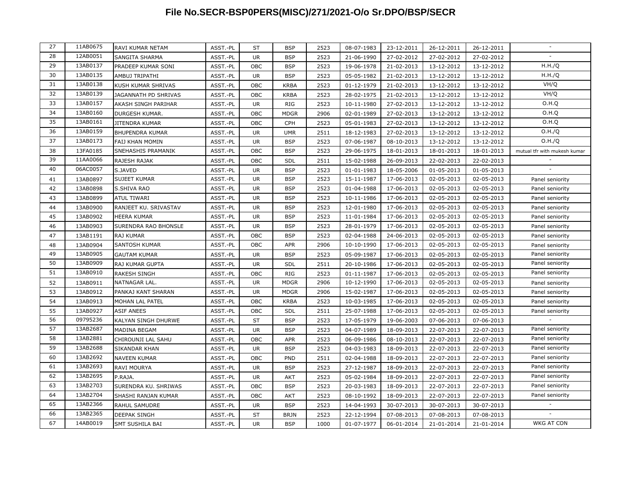| 27 | 11AB0675 | RAVI KUMAR NETAM       | ASST.-PL | <b>ST</b> | <b>BSP</b>  | 2523 | 08-07-1983 | 23-12-2011 | 26-12-2011 | 26-12-2011 |                              |
|----|----------|------------------------|----------|-----------|-------------|------|------------|------------|------------|------------|------------------------------|
| 28 | 12AB0051 | SANGITA SHARMA         | ASST.-PL | <b>UR</b> | <b>BSP</b>  | 2523 | 21-06-1990 | 27-02-2012 | 27-02-2012 | 27-02-2012 |                              |
| 29 | 13AB0137 | PRADEEP KUMAR SONI     | ASST.-PL | OBC       | <b>BSP</b>  | 2523 | 19-06-1978 | 21-02-2013 | 13-12-2012 | 13-12-2012 | H.H./Q                       |
| 30 | 13AB0135 | AMBUJ TRIPATHI         | ASST.-PL | <b>UR</b> | <b>BSP</b>  | 2523 | 05-05-1982 | 21-02-2013 | 13-12-2012 | 13-12-2012 | H.H./Q                       |
| 31 | 13AB0138 | KUSH KUMAR SHRIVAS     | ASST.-PL | OBC       | KRBA        | 2523 | 01-12-1979 | 21-02-2013 | 13-12-2012 | 13-12-2012 | VH/Q                         |
| 32 | 13AB0139 | JAGANNATH PD SHRIVAS   | ASST.-PL | OBC       | <b>KRBA</b> | 2523 | 28-02-1975 | 21-02-2013 | 13-12-2012 | 13-12-2012 | VH/Q                         |
| 33 | 13AB0157 | AKASH SINGH PARIHAR    | ASST.-PL | UR.       | RIG         | 2523 | 10-11-1980 | 27-02-2013 | 13-12-2012 | 13-12-2012 | O.H.Q                        |
| 34 | 13AB0160 | DURGESH KUMAR.         | ASST.-PL | OBC       | <b>MDGR</b> | 2906 | 02-01-1989 | 27-02-2013 | 13-12-2012 | 13-12-2012 | O.H.Q                        |
| 35 | 13AB0161 | JITENDRA KUMAR         | ASST.-PL | OBC       | CPH         | 2523 | 05-01-1983 | 27-02-2013 | 13-12-2012 | 13-12-2012 | O.H.Q                        |
| 36 | 13AB0159 | <b>BHUPENDRA KUMAR</b> | ASST.-PL | UR.       | <b>UMR</b>  | 2511 | 18-12-1983 | 27-02-2013 | 13-12-2012 | 13-12-2012 | O.H./Q                       |
| 37 | 13AB0173 | FAIJ KHAN MOMIN        | ASST.-PL | <b>UR</b> | <b>BSP</b>  | 2523 | 07-06-1987 | 08-10-2013 | 13-12-2012 | 13-12-2012 | O.H./Q                       |
| 38 | 13FA0185 | SNEHASHIS PRAMANIK     | ASST.-PL | OBC       | <b>BSP</b>  | 2523 | 29-06-1975 | 18-01-2013 | 18-01-2013 | 18-01-2013 | mutual tfr with mukesh kumar |
| 39 | 11AA0066 | RAJESH RAJAK           | ASST.-PL | OBC       | <b>SDL</b>  | 2511 | 15-02-1988 | 26-09-2013 | 22-02-2013 | 22-02-2013 |                              |
| 40 | 06AC0057 | S.JAVED                | ASST.-PL | <b>UR</b> | <b>BSP</b>  | 2523 | 01-01-1983 | 18-05-2006 | 01-05-2013 | 01-05-2013 | $\overline{a}$               |
| 41 | 13AB0897 | <b>SUJEET KUMAR</b>    | ASST.-PL | UR.       | <b>BSP</b>  | 2523 | 15-11-1987 | 17-06-2013 | 02-05-2013 | 02-05-2013 | Panel seniority              |
| 42 | 13AB0898 | S.SHIVA RAO            | ASST.-PL | <b>UR</b> | <b>BSP</b>  | 2523 | 01-04-1988 | 17-06-2013 | 02-05-2013 | 02-05-2013 | Panel seniority              |
| 43 | 13AB0899 | ATUL TIWARI            | ASST.-PL | UR.       | <b>BSP</b>  | 2523 | 10-11-1986 | 17-06-2013 | 02-05-2013 | 02-05-2013 | Panel seniority              |
| 44 | 13AB0900 | RANJEET KU. SRIVASTAV  | ASST.-PL | UR.       | <b>BSP</b>  | 2523 | 12-01-1980 | 17-06-2013 | 02-05-2013 | 02-05-2013 | Panel seniority              |
| 45 | 13AB0902 | HEERA KUMAR            | ASST.-PL | UR        | <b>BSP</b>  | 2523 | 11-01-1984 | 17-06-2013 | 02-05-2013 | 02-05-2013 | Panel seniority              |
| 46 | 13AB0903 | SURENDRA RAO BHONSLE   | ASST.-PL | UR.       | <b>BSP</b>  | 2523 | 28-01-1979 | 17-06-2013 | 02-05-2013 | 02-05-2013 | Panel seniority              |
| 47 | 13AB1191 | RAJ KUMAR              | ASST.-PL | OBC       | <b>BSP</b>  | 2523 | 02-04-1988 | 24-06-2013 | 02-05-2013 | 02-05-2013 | Panel seniority              |
| 48 | 13AB0904 | SANTOSH KUMAR          | ASST.-PL | OBC       | <b>APR</b>  | 2906 | 10-10-1990 | 17-06-2013 | 02-05-2013 | 02-05-2013 | Panel seniority              |
| 49 | 13AB0905 | <b>GAUTAM KUMAR</b>    | ASST.-PL | UR.       | <b>BSP</b>  | 2523 | 05-09-1987 | 17-06-2013 | 02-05-2013 | 02-05-2013 | Panel seniority              |
| 50 | 13AB0909 | RAJ KUMAR GUPTA        | ASST.-PL | UR.       | <b>SDL</b>  | 2511 | 20-10-1986 | 17-06-2013 | 02-05-2013 | 02-05-2013 | Panel seniority              |
| 51 | 13AB0910 | <b>RAKESH SINGH</b>    | ASST.-PL | OBC       | RIG         | 2523 | 01-11-1987 | 17-06-2013 | 02-05-2013 | 02-05-2013 | Panel seniority              |
| 52 | 13AB0911 | NATNAGAR LAL.          | ASST.-PL | <b>UR</b> | <b>MDGR</b> | 2906 | 10-12-1990 | 17-06-2013 | 02-05-2013 | 02-05-2013 | Panel seniority              |
| 53 | 13AB0912 | PANKAJ KANT SHARAN     | ASST.-PL | <b>UR</b> | <b>MDGR</b> | 2906 | 15-02-1987 | 17-06-2013 | 02-05-2013 | 02-05-2013 | Panel seniority              |
| 54 | 13AB0913 | MOHAN LAL PATEL        | ASST.-PL | OBC       | <b>KRBA</b> | 2523 | 10-03-1985 | 17-06-2013 | 02-05-2013 | 02-05-2013 | Panel seniority              |
| 55 | 13AB0927 | ASIF ANEES             | ASST.-PL | OBC       | <b>SDL</b>  | 2511 | 25-07-1988 | 17-06-2013 | 02-05-2013 | 02-05-2013 | Panel seniority              |
| 56 | 09795236 | KALYAN SINGH DHURWE    | ASST.-PL | ST        | <b>BSP</b>  | 2523 | 17-05-1979 | 19-06-2003 | 07-06-2013 | 07-06-2013 |                              |
| 57 | 13AB2687 | MADINA BEGAM           | ASST.-PL | UR.       | <b>BSP</b>  | 2523 | 04-07-1989 | 18-09-2013 | 22-07-2013 | 22-07-2013 | Panel seniority              |
| 58 | 13AB2881 | CHIROUNJI LAL SAHU     | ASST.-PL | OBC       | <b>APR</b>  | 2523 | 06-09-1986 | 08-10-2013 | 22-07-2013 | 22-07-2013 | Panel seniority              |
| 59 | 13AB2688 | SIKANDAR KHAN          | ASST.-PL | UR.       | <b>BSP</b>  | 2523 | 04-03-1983 | 18-09-2013 | 22-07-2013 | 22-07-2013 | Panel seniority              |
| 60 | 13AB2692 | <b>NAVEEN KUMAR</b>    | ASST.-PL | OBC       | <b>PND</b>  | 2511 | 02-04-1988 | 18-09-2013 | 22-07-2013 | 22-07-2013 | Panel seniority              |
| 61 | 13AB2693 | RAVI MOURYA            | ASST.-PL | <b>UR</b> | <b>BSP</b>  | 2523 | 27-12-1987 | 18-09-2013 | 22-07-2013 | 22-07-2013 | Panel seniority              |
| 62 | 13AB2695 | P.RAJA.                | ASST.-PL | UR.       | <b>AKT</b>  | 2523 | 05-02-1984 | 18-09-2013 | 22-07-2013 | 22-07-2013 | Panel seniority              |
| 63 | 13AB2703 | SURENDRA KU. SHRIWAS   | ASST.-PL | OBC       | <b>BSP</b>  | 2523 | 20-03-1983 | 18-09-2013 | 22-07-2013 | 22-07-2013 | Panel seniority              |
| 64 | 13AB2704 | SHASHI RANJAN KUMAR    | ASST.-PL | OBC       | <b>AKT</b>  | 2523 | 08-10-1992 | 18-09-2013 | 22-07-2013 | 22-07-2013 | Panel seniority              |
| 65 | 13AB2366 | RAHUL SAMUDRE          | ASST.-PL | <b>UR</b> | <b>BSP</b>  | 2523 | 14-04-1993 | 30-07-2013 | 30-07-2013 | 30-07-2013 |                              |
| 66 | 13AB2365 | <b>DEEPAK SINGH</b>    | ASST.-PL | <b>ST</b> | <b>BRJN</b> | 2523 | 22-12-1994 | 07-08-2013 | 07-08-2013 | 07-08-2013 |                              |
| 67 | 14AB0019 | <b>SMT SUSHILA BAI</b> | ASST.-PL | <b>UR</b> | <b>BSP</b>  | 1000 | 01-07-1977 | 06-01-2014 | 21-01-2014 | 21-01-2014 | <b>WKG AT CON</b>            |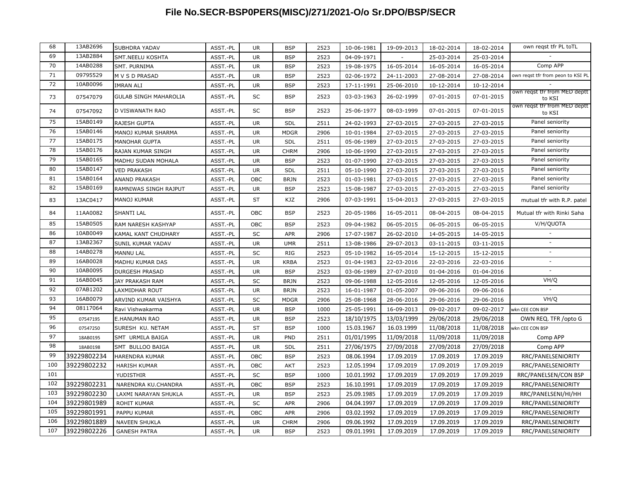| 68  | 13AB2696    | SUBHDRA YADAV                | ASST.-PL | UR.       | <b>BSP</b>  | 2523 | 10-06-1981 | 19-09-2013 | 18-02-2014 | 18-02-2014 | own regst tfr PL toTL                  |
|-----|-------------|------------------------------|----------|-----------|-------------|------|------------|------------|------------|------------|----------------------------------------|
| 69  | 13AB2884    | SMT.NEELU KOSHTA             | ASST.-PL | UR.       | <b>BSP</b>  | 2523 | 04-09-1971 |            | 25-03-2014 | 25-03-2014 |                                        |
| 70  | 14AB0288    | SMT. PURNIMA                 | ASST.-PL | UR        | <b>BSP</b>  | 2523 | 19-08-1975 | 16-05-2014 | 16-05-2014 | 16-05-2014 | Comp APP                               |
| 71  | 09795529    | M V S D PRASAD               | ASST.-PL | <b>UR</b> | <b>BSP</b>  | 2523 | 02-06-1972 | 24-11-2003 | 27-08-2014 | 27-08-2014 | own reqst tfr from peon to KSI PL      |
| 72  | 10AB0096    | <b>IMRAN ALI</b>             | ASST.-PL | UR        | <b>BSP</b>  | 2523 | 17-11-1991 | 25-06-2010 | 10-12-2014 | 10-12-2014 |                                        |
| 73  | 07547079    | <b>GULAB SINGH MAHAROLIA</b> | ASST.-PL | SC        | <b>BSP</b>  | 2523 | 03-03-1963 | 26-02-1999 | 07-01-2015 | 07-01-2015 | own reqst tfr from MED deptt<br>to KSI |
| 74  | 07547092    | D VISWANATH RAO              | ASST.-PL | SC        | <b>BSP</b>  | 2523 | 25-06-1977 | 08-03-1999 | 07-01-2015 | 07-01-2015 | own reqst tfr from MED deptt<br>to KSI |
| 75  | 15AB0149    | <b>RAJESH GUPTA</b>          | ASST.-PL | <b>UR</b> | SDL         | 2511 | 24-02-1993 | 27-03-2015 | 27-03-2015 | 27-03-2015 | Panel seniority                        |
| 76  | 15AB0146    | MANOJ KUMAR SHARMA           | ASST.-PL | <b>UR</b> | <b>MDGR</b> | 2906 | 10-01-1984 | 27-03-2015 | 27-03-2015 | 27-03-2015 | Panel seniority                        |
| 77  | 15AB0175    | <b>MANOHAR GUPTA</b>         | ASST.-PL | UR        | SDL         | 2511 | 05-06-1989 | 27-03-2015 | 27-03-2015 | 27-03-2015 | Panel seniority                        |
| 78  | 15AB0176    | RAJAN KUMAR SINGH            | ASST.-PL | <b>UR</b> | <b>CHRM</b> | 2906 | 10-06-1990 | 27-03-2015 | 27-03-2015 | 27-03-2015 | Panel seniority                        |
| 79  | 15AB0165    | MADHU SUDAN MOHALA           | ASST.-PL | <b>UR</b> | <b>BSP</b>  | 2523 | 01-07-1990 | 27-03-2015 | 27-03-2015 | 27-03-2015 | Panel seniority                        |
| 80  | 15AB0147    | <b>VED PRAKASH</b>           | ASST.-PL | UR        | SDL         | 2511 | 05-10-1990 | 27-03-2015 | 27-03-2015 | 27-03-2015 | Panel seniority                        |
| 81  | 15AB0164    | <b>ANAND PRAKASH</b>         | ASST.-PL | OBC       | <b>BRJN</b> | 2523 | 01-03-1981 | 27-03-2015 | 27-03-2015 | 27-03-2015 | Panel seniority                        |
| 82  | 15AB0169    | RAMNIWAS SINGH RAJPUT        | ASST.-PL | <b>UR</b> | <b>BSP</b>  | 2523 | 15-08-1987 | 27-03-2015 | 27-03-2015 | 27-03-2015 | Panel seniority                        |
| 83  | 13AC0417    | <b>MANOJ KUMAR</b>           | ASST.-PL | <b>ST</b> | KJZ         | 2906 | 07-03-1991 | 15-04-2013 | 27-03-2015 | 27-03-2015 | mutual tfr with R.P. patel             |
| 84  | 11AA0082    | <b>SHANTI LAL</b>            | ASST.-PL | OBC       | <b>BSP</b>  | 2523 | 20-05-1986 | 16-05-2011 | 08-04-2015 | 08-04-2015 | Mutual tfr with Rinki Saha             |
| 85  | 15AB0505    | RAM NARESH KASHYAP           | ASST.-PL | OBC       | <b>BSP</b>  | 2523 | 09-04-1982 | 06-05-2015 | 06-05-2015 | 06-05-2015 | V/H/QUOTA                              |
| 86  | 10AB0049    | KAMAL KANT CHUDHARY          | ASST.-PL | SC        | <b>APR</b>  | 2906 | 17-07-1987 | 26-02-2010 | 14-05-2015 | 14-05-2015 |                                        |
| 87  | 13AB2367    | SUNIL KUMAR YADAV            | ASST.-PL | UR        | <b>UMR</b>  | 2511 | 13-08-1986 | 29-07-2013 | 03-11-2015 | 03-11-2015 |                                        |
| 88  | 14AB0278    | <b>MANNU LAL</b>             | ASST.-PL | SC        | <b>RIG</b>  | 2523 | 05-10-1982 | 16-05-2014 | 15-12-2015 | 15-12-2015 | $\overline{a}$                         |
| 89  | 16AB0028    | <b>MADHU KUMAR DAS</b>       | ASST.-PL | <b>UR</b> | <b>KRBA</b> | 2523 | 01-04-1983 | 22-03-2016 | 22-03-2016 | 22-03-2016 | $\overline{\phantom{a}}$               |
| 90  | 10AB0095    | <b>DURGESH PRASAD</b>        | ASST.-PL | UR        | <b>BSP</b>  | 2523 | 03-06-1989 | 27-07-2010 | 01-04-2016 | 01-04-2016 | $\overline{\phantom{a}}$               |
| 91  | 16AB0045    | JAY PRAKASH RAM              | ASST.-PL | SC        | <b>BRJN</b> | 2523 | 09-06-1988 | 12-05-2016 | 12-05-2016 | 12-05-2016 | VH/Q                                   |
| 92  | 07AB1202    | LAXMIDHAR ROUT               | ASST.-PL | <b>UR</b> | <b>BRJN</b> | 2523 | 16-01-1987 | 01-05-2007 | 09-06-2016 | 09-06-2016 |                                        |
| 93  | 16AB0079    | ARVIND KUMAR VAISHYA         | ASST.-PL | SC        | <b>MDGR</b> | 2906 | 25-08-1968 | 28-06-2016 | 29-06-2016 | 29-06-2016 | VH/Q                                   |
| 94  | 08117064    | Ravi Vishwakarma             | ASST.-PL | <b>UR</b> | <b>BSP</b>  | 1000 | 25-05-1991 | 16-09-2013 | 09-02-2017 | 09-02-2017 | wkn CEE CON BSP                        |
| 95  | 07547195    | <b>E.HANUMAN RAO</b>         | ASST.-PL | <b>UR</b> | <b>BSP</b>  | 2523 | 18/10/1975 | 13/03/1999 | 29/06/2018 | 29/06/2018 | OWN REQ. TFR /opto G                   |
| 96  | 07547250    | SURESH KU. NETAM             | ASST.-PL | <b>ST</b> | <b>BSP</b>  | 1000 | 15.03.1967 | 16.03.1999 | 11/08/2018 | 11/08/2018 | wkn CEE CON BSP                        |
| 97  | 18AB0195    | SMT URMILA BAIGA             | ASST.-PL | <b>UR</b> | PND         | 2511 | 01/01/1995 | 11/09/2018 | 11/09/2018 | 11/09/2018 | Comp APP                               |
| 98  | 18AB0198    | SMT BULLOO BAIGA             | ASST.-PL | <b>UR</b> | SDL         | 2511 | 27/06/1975 | 27/09/2018 | 27/09/2018 | 27/09/2018 | Comp APP                               |
| 99  | 39229802234 | <b>HARENDRA KUMAR</b>        | ASST.-PL | OBC       | <b>BSP</b>  | 2523 | 08.06.1994 | 17.09.2019 | 17.09.2019 | 17.09.2019 | RRC/PANELSENIORITY                     |
| 100 | 39229802232 | <b>HARISH KUMAR</b>          | ASST.-PL | OBC       | <b>AKT</b>  | 2523 | 12.05.1994 | 17.09.2019 | 17.09.2019 | 17.09.2019 | RRC/PANELSENIORITY                     |
| 101 |             | YUDISTHIR                    | ASST.-PL | SC        | <b>BSP</b>  | 1000 | 10.01.1992 | 17.09.2019 | 17.09.2019 | 17.09.2019 | RRC/PANELSEN/CON BSP                   |
| 102 | 39229802231 | NARENDRA KU.CHANDRA          | ASST.-PL | OBC       | <b>BSP</b>  | 2523 | 16.10.1991 | 17.09.2019 | 17.09.2019 | 17.09.2019 | RRC/PANELSENIORITY                     |
| 103 | 39229802230 | LAXMI NARAYAN SHUKLA         | ASST.-PL | <b>UR</b> | <b>BSP</b>  | 2523 | 25.09.1985 | 17.09.2019 | 17.09.2019 | 17.09.2019 | RRC/PANELSENI/HI/HH                    |
| 104 | 39229801989 | <b>ROHIT KUMAR</b>           | ASST.-PL | SC        | <b>APR</b>  | 2906 | 04.04.1997 | 17.09.2019 | 17.09.2019 | 17.09.2019 | RRC/PANELSENIORITY                     |
| 105 | 39229801991 | PAPPU KUMAR                  | ASST.-PL | OBC       | <b>APR</b>  | 2906 | 03.02.1992 | 17.09.2019 | 17.09.2019 | 17.09.2019 | RRC/PANELSENIORITY                     |
| 106 | 39229801889 | <b>NAVEEN SHUKLA</b>         | ASST.-PL | <b>UR</b> | <b>CHRM</b> | 2906 | 09.06.1992 | 17.09.2019 | 17.09.2019 | 17.09.2019 | RRC/PANELSENIORITY                     |
| 107 | 39229802226 | <b>GANESH PATRA</b>          | ASST.-PL | <b>UR</b> | <b>BSP</b>  | 2523 | 09.01.1991 | 17.09.2019 | 17.09.2019 | 17.09.2019 | RRC/PANELSENIORITY                     |